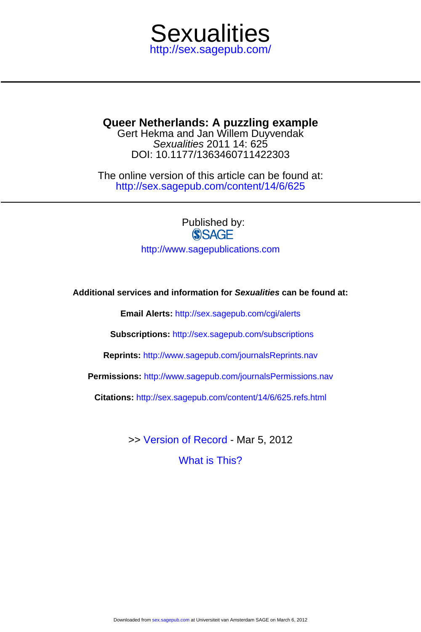

## **Queer Netherlands: A puzzling example**

DOI: 10.1177/1363460711422303 Sexualities 2011 14: 625 Gert Hekma and Jan Willem Duyvendak

<http://sex.sagepub.com/content/14/6/625> The online version of this article can be found at:

> Published by:<br>
> SAGE <http://www.sagepublications.com>

**Additional services and information for Sexualities can be found at:**

**Email Alerts:** <http://sex.sagepub.com/cgi/alerts>

**Subscriptions:** <http://sex.sagepub.com/subscriptions>

**Reprints:** <http://www.sagepub.com/journalsReprints.nav>

**Permissions:** <http://www.sagepub.com/journalsPermissions.nav>

**Citations:** <http://sex.sagepub.com/content/14/6/625.refs.html>

>> [Version of Record -](http://sex.sagepub.com/content/14/6/625.full.pdf) Mar 5, 2012

[What is This?](http://online.sagepub.com/site/sphelp/vorhelp.xhtml)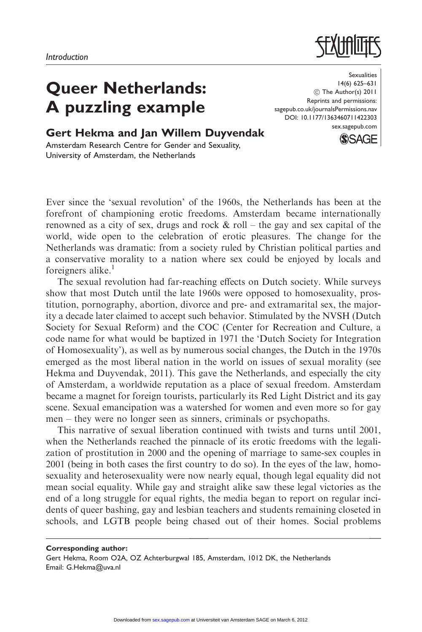## Queer Netherlands: A puzzling example

Gert Hekma and Ian Willem Duyvendak Amsterdam Research Centre for Gender and Sexuality,

University of Amsterdam, the Netherlands

Ever since the 'sexual revolution' of the 1960s, the Netherlands has been at the forefront of championing erotic freedoms. Amsterdam became internationally renowned as a city of sex, drugs and rock  $\&$  roll – the gay and sex capital of the world, wide open to the celebration of erotic pleasures. The change for the Netherlands was dramatic: from a society ruled by Christian political parties and a conservative morality to a nation where sex could be enjoyed by locals and foreigners alike. $<sup>1</sup>$ </sup>

The sexual revolution had far-reaching effects on Dutch society. While surveys show that most Dutch until the late 1960s were opposed to homosexuality, prostitution, pornography, abortion, divorce and pre- and extramarital sex, the majority a decade later claimed to accept such behavior. Stimulated by the NVSH (Dutch Society for Sexual Reform) and the COC (Center for Recreation and Culture, a code name for what would be baptized in 1971 the 'Dutch Society for Integration of Homosexuality'), as well as by numerous social changes, the Dutch in the 1970s emerged as the most liberal nation in the world on issues of sexual morality (see Hekma and Duyvendak, 2011). This gave the Netherlands, and especially the city of Amsterdam, a worldwide reputation as a place of sexual freedom. Amsterdam became a magnet for foreign tourists, particularly its Red Light District and its gay scene. Sexual emancipation was a watershed for women and even more so for gay men – they were no longer seen as sinners, criminals or psychopaths.

This narrative of sexual liberation continued with twists and turns until 2001, when the Netherlands reached the pinnacle of its erotic freedoms with the legalization of prostitution in 2000 and the opening of marriage to same-sex couples in 2001 (being in both cases the first country to do so). In the eyes of the law, homosexuality and heterosexuality were now nearly equal, though legal equality did not mean social equality. While gay and straight alike saw these legal victories as the end of a long struggle for equal rights, the media began to report on regular incidents of queer bashing, gay and lesbian teachers and students remaining closeted in schools, and LGTB people being chased out of their homes. Social problems

Corresponding author:

Gert Hekma, Room O2A, OZ Achterburgwal 185, Amsterdam, 1012 DK, the Netherlands Email: G.Hekma@uva.nl

sex.sagepub.com **SSAGE** 

Sexualities 14(6) 625–631 ! The Author(s) 2011 Reprints and permissions: sagepub.co.uk/journalsPermissions.nav DOI: 10.1177/1363460711422303

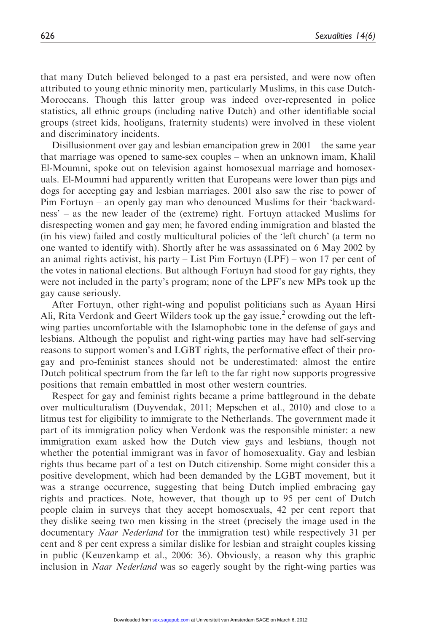that many Dutch believed belonged to a past era persisted, and were now often attributed to young ethnic minority men, particularly Muslims, in this case Dutch-Moroccans. Though this latter group was indeed over-represented in police statistics, all ethnic groups (including native Dutch) and other identifiable social groups (street kids, hooligans, fraternity students) were involved in these violent and discriminatory incidents.

Disillusionment over gay and lesbian emancipation grew in 2001 – the same year that marriage was opened to same-sex couples – when an unknown imam, Khalil El-Moumni, spoke out on television against homosexual marriage and homosexuals. El-Moumni had apparently written that Europeans were lower than pigs and dogs for accepting gay and lesbian marriages. 2001 also saw the rise to power of Pim Fortuyn – an openly gay man who denounced Muslims for their 'backwardness' – as the new leader of the (extreme) right. Fortuyn attacked Muslims for disrespecting women and gay men; he favored ending immigration and blasted the (in his view) failed and costly multicultural policies of the 'left church' (a term no one wanted to identify with). Shortly after he was assassinated on 6 May 2002 by an animal rights activist, his party – List Pim Fortuyn (LPF) – won 17 per cent of the votes in national elections. But although Fortuyn had stood for gay rights, they were not included in the party's program; none of the LPF's new MPs took up the gay cause seriously.

After Fortuyn, other right-wing and populist politicians such as Ayaan Hirsi Ali, Rita Verdonk and Geert Wilders took up the gay issue,<sup>2</sup> crowding out the leftwing parties uncomfortable with the Islamophobic tone in the defense of gays and lesbians. Although the populist and right-wing parties may have had self-serving reasons to support women's and LGBT rights, the performative effect of their progay and pro-feminist stances should not be underestimated: almost the entire Dutch political spectrum from the far left to the far right now supports progressive positions that remain embattled in most other western countries.

Respect for gay and feminist rights became a prime battleground in the debate over multiculturalism (Duyvendak, 2011; Mepschen et al., 2010) and close to a litmus test for eligibility to immigrate to the Netherlands. The government made it part of its immigration policy when Verdonk was the responsible minister: a new immigration exam asked how the Dutch view gays and lesbians, though not whether the potential immigrant was in favor of homosexuality. Gay and lesbian rights thus became part of a test on Dutch citizenship. Some might consider this a positive development, which had been demanded by the LGBT movement, but it was a strange occurrence, suggesting that being Dutch implied embracing gay rights and practices. Note, however, that though up to 95 per cent of Dutch people claim in surveys that they accept homosexuals, 42 per cent report that they dislike seeing two men kissing in the street (precisely the image used in the documentary Naar Nederland for the immigration test) while respectively 31 per cent and 8 per cent express a similar dislike for lesbian and straight couples kissing in public (Keuzenkamp et al., 2006: 36). Obviously, a reason why this graphic inclusion in *Naar Nederland* was so eagerly sought by the right-wing parties was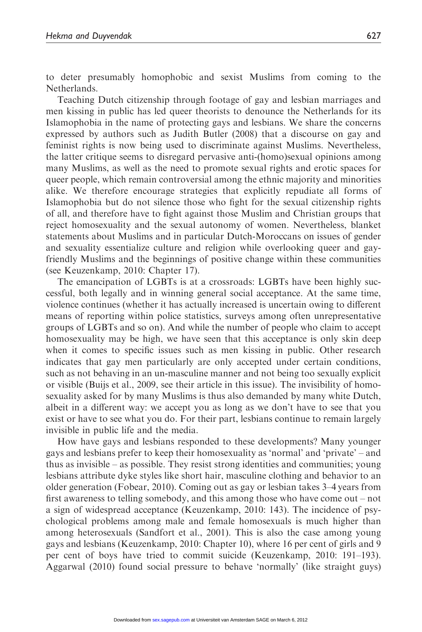to deter presumably homophobic and sexist Muslims from coming to the Netherlands.

Teaching Dutch citizenship through footage of gay and lesbian marriages and men kissing in public has led queer theorists to denounce the Netherlands for its Islamophobia in the name of protecting gays and lesbians. We share the concerns expressed by authors such as Judith Butler (2008) that a discourse on gay and feminist rights is now being used to discriminate against Muslims. Nevertheless, the latter critique seems to disregard pervasive anti-(homo)sexual opinions among many Muslims, as well as the need to promote sexual rights and erotic spaces for queer people, which remain controversial among the ethnic majority and minorities alike. We therefore encourage strategies that explicitly repudiate all forms of Islamophobia but do not silence those who fight for the sexual citizenship rights of all, and therefore have to fight against those Muslim and Christian groups that reject homosexuality and the sexual autonomy of women. Nevertheless, blanket statements about Muslims and in particular Dutch-Moroccans on issues of gender and sexuality essentialize culture and religion while overlooking queer and gayfriendly Muslims and the beginnings of positive change within these communities (see Keuzenkamp, 2010: Chapter 17).

The emancipation of LGBTs is at a crossroads: LGBTs have been highly successful, both legally and in winning general social acceptance. At the same time, violence continues (whether it has actually increased is uncertain owing to different means of reporting within police statistics, surveys among often unrepresentative groups of LGBTs and so on). And while the number of people who claim to accept homosexuality may be high, we have seen that this acceptance is only skin deep when it comes to specific issues such as men kissing in public. Other research indicates that gay men particularly are only accepted under certain conditions, such as not behaving in an un-masculine manner and not being too sexually explicit or visible (Buijs et al., 2009, see their article in this issue). The invisibility of homosexuality asked for by many Muslims is thus also demanded by many white Dutch, albeit in a different way: we accept you as long as we don't have to see that you exist or have to see what you do. For their part, lesbians continue to remain largely invisible in public life and the media.

How have gays and lesbians responded to these developments? Many younger gays and lesbians prefer to keep their homosexuality as 'normal' and 'private' – and thus as invisible – as possible. They resist strong identities and communities; young lesbians attribute dyke styles like short hair, masculine clothing and behavior to an older generation (Fobear, 2010). Coming out as gay or lesbian takes 3–4 years from first awareness to telling somebody, and this among those who have come out – not a sign of widespread acceptance (Keuzenkamp, 2010: 143). The incidence of psychological problems among male and female homosexuals is much higher than among heterosexuals (Sandfort et al., 2001). This is also the case among young gays and lesbians (Keuzenkamp, 2010: Chapter 10), where 16 per cent of girls and 9 per cent of boys have tried to commit suicide (Keuzenkamp, 2010: 191–193). Aggarwal (2010) found social pressure to behave 'normally' (like straight guys)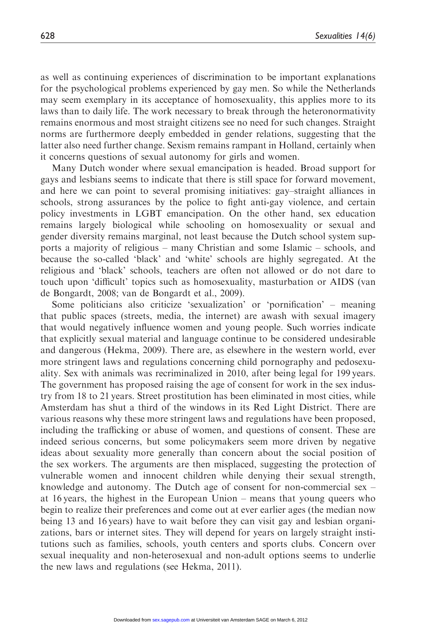as well as continuing experiences of discrimination to be important explanations for the psychological problems experienced by gay men. So while the Netherlands may seem exemplary in its acceptance of homosexuality, this applies more to its laws than to daily life. The work necessary to break through the heteronormativity remains enormous and most straight citizens see no need for such changes. Straight norms are furthermore deeply embedded in gender relations, suggesting that the latter also need further change. Sexism remains rampant in Holland, certainly when it concerns questions of sexual autonomy for girls and women.

Many Dutch wonder where sexual emancipation is headed. Broad support for gays and lesbians seems to indicate that there is still space for forward movement, and here we can point to several promising initiatives: gay–straight alliances in schools, strong assurances by the police to fight anti-gay violence, and certain policy investments in LGBT emancipation. On the other hand, sex education remains largely biological while schooling on homosexuality or sexual and gender diversity remains marginal, not least because the Dutch school system supports a majority of religious – many Christian and some Islamic – schools, and because the so-called 'black' and 'white' schools are highly segregated. At the religious and 'black' schools, teachers are often not allowed or do not dare to touch upon 'difficult' topics such as homosexuality, masturbation or AIDS (van de Bongardt, 2008; van de Bongardt et al., 2009).

Some politicians also criticize 'sexualization' or 'pornification' – meaning that public spaces (streets, media, the internet) are awash with sexual imagery that would negatively influence women and young people. Such worries indicate that explicitly sexual material and language continue to be considered undesirable and dangerous (Hekma, 2009). There are, as elsewhere in the western world, ever more stringent laws and regulations concerning child pornography and pedosexuality. Sex with animals was recriminalized in 2010, after being legal for 199 years. The government has proposed raising the age of consent for work in the sex industry from 18 to 21 years. Street prostitution has been eliminated in most cities, while Amsterdam has shut a third of the windows in its Red Light District. There are various reasons why these more stringent laws and regulations have been proposed, including the trafficking or abuse of women, and questions of consent. These are indeed serious concerns, but some policymakers seem more driven by negative ideas about sexuality more generally than concern about the social position of the sex workers. The arguments are then misplaced, suggesting the protection of vulnerable women and innocent children while denying their sexual strength, knowledge and autonomy. The Dutch age of consent for non-commercial sex – at 16 years, the highest in the European Union – means that young queers who begin to realize their preferences and come out at ever earlier ages (the median now being 13 and 16 years) have to wait before they can visit gay and lesbian organizations, bars or internet sites. They will depend for years on largely straight institutions such as families, schools, youth centers and sports clubs. Concern over sexual inequality and non-heterosexual and non-adult options seems to underlie the new laws and regulations (see Hekma, 2011).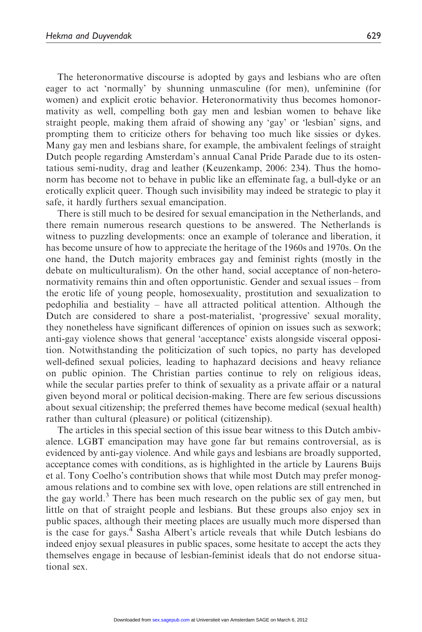The heteronormative discourse is adopted by gays and lesbians who are often eager to act 'normally' by shunning unmasculine (for men), unfeminine (for women) and explicit erotic behavior. Heteronormativity thus becomes homonormativity as well, compelling both gay men and lesbian women to behave like straight people, making them afraid of showing any 'gay' or 'lesbian' signs, and prompting them to criticize others for behaving too much like sissies or dykes. Many gay men and lesbians share, for example, the ambivalent feelings of straight Dutch people regarding Amsterdam's annual Canal Pride Parade due to its ostentatious semi-nudity, drag and leather (Keuzenkamp, 2006: 234). Thus the homonorm has become not to behave in public like an effeminate fag, a bull-dyke or an erotically explicit queer. Though such invisibility may indeed be strategic to play it safe, it hardly furthers sexual emancipation.

There is still much to be desired for sexual emancipation in the Netherlands, and there remain numerous research questions to be answered. The Netherlands is witness to puzzling developments: once an example of tolerance and liberation, it has become unsure of how to appreciate the heritage of the 1960s and 1970s. On the one hand, the Dutch majority embraces gay and feminist rights (mostly in the debate on multiculturalism). On the other hand, social acceptance of non-heteronormativity remains thin and often opportunistic. Gender and sexual issues – from the erotic life of young people, homosexuality, prostitution and sexualization to pedophilia and bestiality – have all attracted political attention. Although the Dutch are considered to share a post-materialist, 'progressive' sexual morality, they nonetheless have significant differences of opinion on issues such as sexwork; anti-gay violence shows that general 'acceptance' exists alongside visceral opposition. Notwithstanding the politicization of such topics, no party has developed well-defined sexual policies, leading to haphazard decisions and heavy reliance on public opinion. The Christian parties continue to rely on religious ideas, while the secular parties prefer to think of sexuality as a private affair or a natural given beyond moral or political decision-making. There are few serious discussions about sexual citizenship; the preferred themes have become medical (sexual health) rather than cultural (pleasure) or political (citizenship).

The articles in this special section of this issue bear witness to this Dutch ambivalence. LGBT emancipation may have gone far but remains controversial, as is evidenced by anti-gay violence. And while gays and lesbians are broadly supported, acceptance comes with conditions, as is highlighted in the article by Laurens Buijs et al. Tony Coelho's contribution shows that while most Dutch may prefer monogamous relations and to combine sex with love, open relations are still entrenched in the gay world.<sup>3</sup> There has been much research on the public sex of gay men, but little on that of straight people and lesbians. But these groups also enjoy sex in public spaces, although their meeting places are usually much more dispersed than is the case for gays.<sup>4</sup> Sasha Albert's article reveals that while Dutch lesbians do indeed enjoy sexual pleasures in public spaces, some hesitate to accept the acts they themselves engage in because of lesbian-feminist ideals that do not endorse situational sex.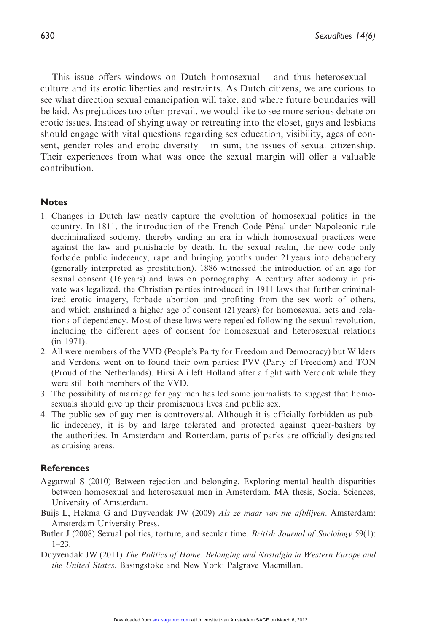This issue offers windows on Dutch homosexual – and thus heterosexual – culture and its erotic liberties and restraints. As Dutch citizens, we are curious to see what direction sexual emancipation will take, and where future boundaries will be laid. As prejudices too often prevail, we would like to see more serious debate on erotic issues. Instead of shying away or retreating into the closet, gays and lesbians should engage with vital questions regarding sex education, visibility, ages of consent, gender roles and erotic diversity – in sum, the issues of sexual citizenship. Their experiences from what was once the sexual margin will offer a valuable contribution.

## **Notes**

- 1. Changes in Dutch law neatly capture the evolution of homosexual politics in the country. In 1811, the introduction of the French Code Pénal under Napoleonic rule decriminalized sodomy, thereby ending an era in which homosexual practices were against the law and punishable by death. In the sexual realm, the new code only forbade public indecency, rape and bringing youths under 21 years into debauchery (generally interpreted as prostitution). 1886 witnessed the introduction of an age for sexual consent (16 years) and laws on pornography. A century after sodomy in private was legalized, the Christian parties introduced in 1911 laws that further criminalized erotic imagery, forbade abortion and profiting from the sex work of others, and which enshrined a higher age of consent (21 years) for homosexual acts and relations of dependency. Most of these laws were repealed following the sexual revolution, including the different ages of consent for homosexual and heterosexual relations (in 1971).
- 2. All were members of the VVD (People's Party for Freedom and Democracy) but Wilders and Verdonk went on to found their own parties: PVV (Party of Freedom) and TON (Proud of the Netherlands). Hirsi Ali left Holland after a fight with Verdonk while they were still both members of the VVD.
- 3. The possibility of marriage for gay men has led some journalists to suggest that homosexuals should give up their promiscuous lives and public sex.
- 4. The public sex of gay men is controversial. Although it is officially forbidden as public indecency, it is by and large tolerated and protected against queer-bashers by the authorities. In Amsterdam and Rotterdam, parts of parks are officially designated as cruising areas.

## **References**

- Aggarwal S (2010) Between rejection and belonging. Exploring mental health disparities between homosexual and heterosexual men in Amsterdam. MA thesis, Social Sciences, University of Amsterdam.
- Buijs L, Hekma G and Duyvendak JW (2009) Als ze maar van me afblijven. Amsterdam: Amsterdam University Press.
- Butler J (2008) Sexual politics, torture, and secular time. *British Journal of Sociology* 59(1): 1–23.
- Duyvendak JW (2011) The Politics of Home. Belonging and Nostalgia in Western Europe and the United States. Basingstoke and New York: Palgrave Macmillan.